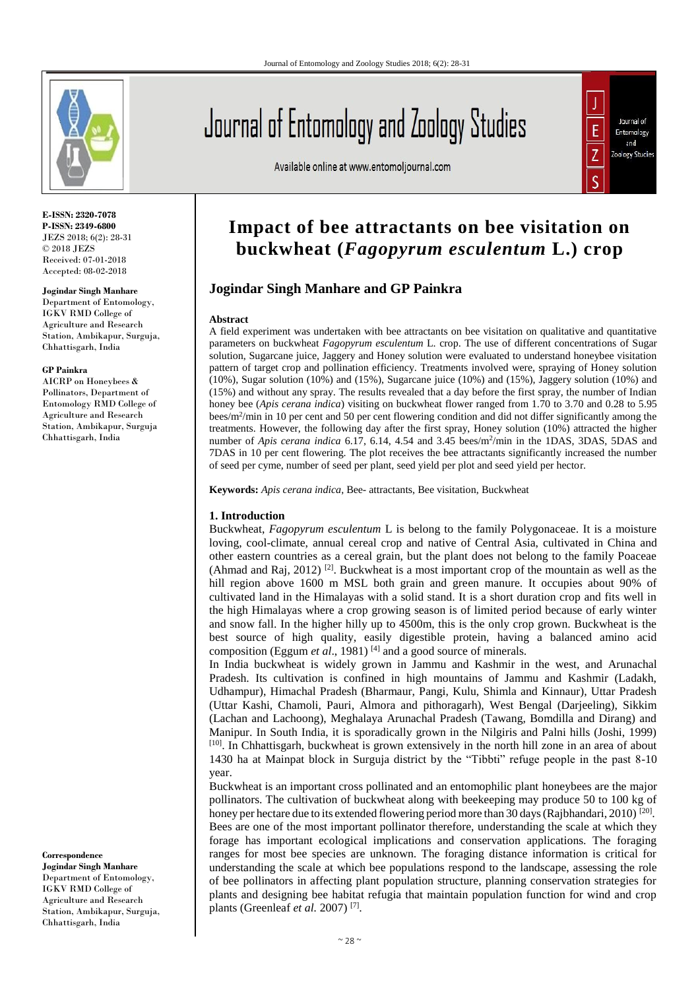

**E-ISSN: 2320-7078 P-ISSN: 2349-6800** JEZS 2018; 6(2): 28-31 © 2018 JEZS Received: 07-01-2018 Accepted: 08-02-2018

#### **Jogindar Singh Manhare**

Department of Entomology, IGKV RMD College of Agriculture and Research Station, Ambikapur, Surguja, Chhattisgarh, India

#### **GP Painkra**

AICRP on Honeybees & Pollinators, Department of Entomology RMD College of Agriculture and Research Station, Ambikapur, Surguja Chhattisgarh, India

**Correspondence Jogindar Singh Manhare** Department of Entomology, IGKV RMD College of Agriculture and Research Station, Ambikapur, Surguja, Chhattisgarh, India

# Journal of Entomology and Zoology Studies

Available online at www.entomoljournal.com



# **Impact of bee attractants on bee visitation on buckwheat (***Fagopyrum esculentum* **L.) crop**

# **Jogindar Singh Manhare and GP Painkra**

#### **Abstract**

A field experiment was undertaken with bee attractants on bee visitation on qualitative and quantitative parameters on buckwheat *Fagopyrum esculentum* L. crop. The use of different concentrations of Sugar solution, Sugarcane juice, Jaggery and Honey solution were evaluated to understand honeybee visitation pattern of target crop and pollination efficiency. Treatments involved were, spraying of Honey solution (10%), Sugar solution (10%) and (15%), Sugarcane juice (10%) and (15%), Jaggery solution (10%) and (15%) and without any spray. The results revealed that a day before the first spray, the number of Indian honey bee (*Apis cerana indica*) visiting on buckwheat flower ranged from 1.70 to 3.70 and 0.28 to 5.95 bees/m<sup>2</sup>/min in 10 per cent and 50 per cent flowering condition and did not differ significantly among the treatments. However, the following day after the first spray, Honey solution (10%) attracted the higher number of *Apis cerana indica* 6.17, 6.14, 4.54 and 3.45 bees/m<sup>2</sup>/min in the 1DAS, 3DAS, 5DAS and 7DAS in 10 per cent flowering. The plot receives the bee attractants significantly increased the number of seed per cyme, number of seed per plant, seed yield per plot and seed yield per hector.

**Keywords:** *Apis cerana indica*, Bee- attractants, Bee visitation, Buckwheat

#### **1. Introduction**

Buckwheat, *Fagopyrum esculentum* L is belong to the family Polygonaceae. It is a moisture loving, cool-climate, annual cereal crop and native of Central Asia, cultivated in China and other eastern countries as a cereal grain, but the plant does not belong to the family Poaceae (Ahmad and Raj, 2012) <sup>[2]</sup>. Buckwheat is a most important crop of the mountain as well as the hill region above 1600 m MSL both grain and green manure. It occupies about 90% of cultivated land in the Himalayas with a solid stand. It is a short duration crop and fits well in the high Himalayas where a crop growing season is of limited period because of early winter and snow fall. In the higher hilly up to 4500m, this is the only crop grown. Buckwheat is the best source of high quality, easily digestible protein, having a balanced amino acid composition (Eggum *et al.*, 1981)<sup>[4]</sup> and a good source of minerals.

In India buckwheat is widely grown in Jammu and Kashmir in the west, and Arunachal Pradesh. Its cultivation is confined in high mountains of Jammu and Kashmir (Ladakh, Udhampur), Himachal Pradesh (Bharmaur, Pangi, Kulu, Shimla and Kinnaur), Uttar Pradesh (Uttar Kashi, Chamoli, Pauri, Almora and pithoragarh), West Bengal (Darjeeling), Sikkim (Lachan and Lachoong), Meghalaya Arunachal Pradesh (Tawang, Bomdilla and Dirang) and Manipur. In South India, it is sporadically grown in the Nilgiris and Palni hills (Joshi, 1999) [10]. In Chhattisgarh, buckwheat is grown extensively in the north hill zone in an area of about 1430 ha at Mainpat block in Surguja district by the "Tibbti" refuge people in the past 8-10 year.

Buckwheat is an important cross pollinated and an entomophilic plant honeybees are the major pollinators. The cultivation of buckwheat along with beekeeping may produce 50 to 100 kg of honey per hectare due to its extended flowering period more than 30 days (Rajbhandari, 2010) [20]. Bees are one of the most important pollinator therefore, understanding the scale at which they forage has important ecological implications and conservation applications. The foraging ranges for most bee species are unknown. The foraging distance information is critical for understanding the scale at which bee populations respond to the landscape, assessing the role of bee pollinators in affecting plant population structure, planning conservation strategies for plants and designing bee habitat refugia that maintain population function for wind and crop plants (Greenleaf *et al.* 2007)<sup>[7]</sup>.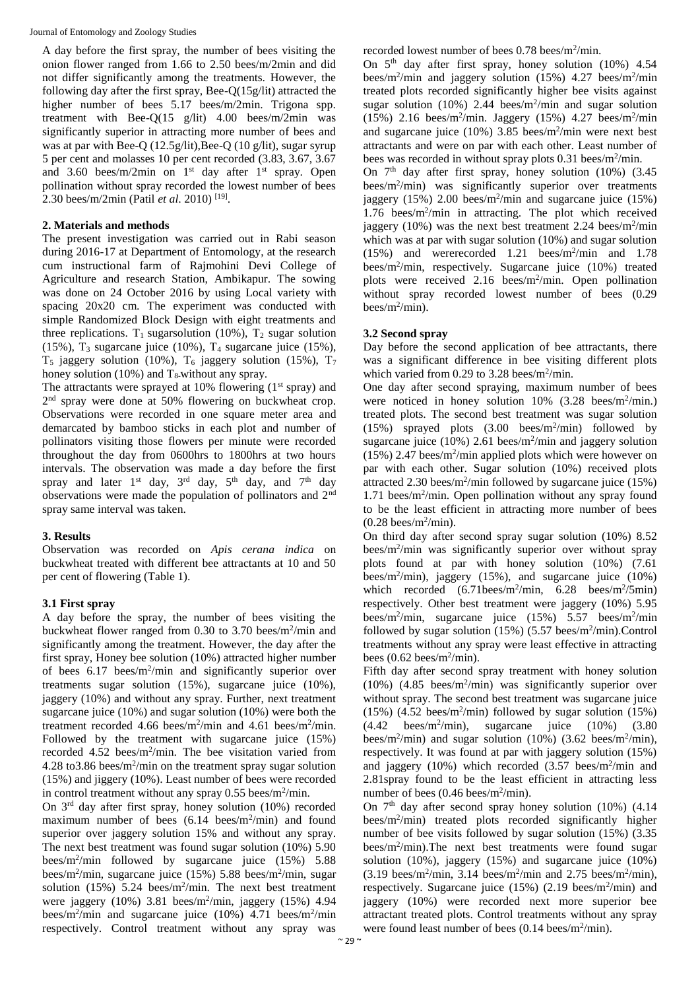A day before the first spray, the number of bees visiting the onion flower ranged from 1.66 to 2.50 bees/m/2min and did not differ significantly among the treatments. However, the following day after the first spray, Bee-Q(15g/lit) attracted the higher number of bees 5.17 bees/m/2min. Trigona spp. treatment with Bee-Q(15 g/lit) 4.00 bees/m/2min was significantly superior in attracting more number of bees and was at par with Bee-Q (12.5g/lit), Bee-Q (10 g/lit), sugar syrup 5 per cent and molasses 10 per cent recorded (3.83, 3.67, 3.67 and 3.60 bees/m/2min on  $1<sup>st</sup>$  day after  $1<sup>st</sup>$  spray. Open pollination without spray recorded the lowest number of bees 2.30 bees/m/2min (Patil *et al*. 2010) [19] .

#### **2. Materials and methods**

The present investigation was carried out in Rabi season during 2016-17 at Department of Entomology, at the research cum instructional farm of Rajmohini Devi College of Agriculture and research Station, Ambikapur. The sowing was done on 24 October 2016 by using Local variety with spacing 20x20 cm. The experiment was conducted with simple Randomized Block Design with eight treatments and three replications. T<sub>1</sub> sugarsolution (10%), T<sub>2</sub> sugar solution  $(15\%)$ , T<sub>3</sub> sugarcane juice  $(10\%)$ , T<sub>4</sub> sugarcane juice  $(15\%)$ ,  $T_5$  jaggery solution (10%),  $T_6$  jaggery solution (15%),  $T_7$ honey solution (10%) and  $T_8$ -without any spray.

The attractants were sprayed at 10% flowering  $(1<sup>st</sup>$  spray) and 2<sup>nd</sup> spray were done at 50% flowering on buckwheat crop. Observations were recorded in one square meter area and demarcated by bamboo sticks in each plot and number of pollinators visiting those flowers per minute were recorded throughout the day from 0600hrs to 1800hrs at two hours intervals. The observation was made a day before the first spray and later  $1^{st}$  day,  $3^{rd}$  day,  $5^{th}$  day, and  $7^{th}$  day observations were made the population of pollinators and 2nd spray same interval was taken.

# **3. Results**

Observation was recorded on *Apis cerana indica* on buckwheat treated with different bee attractants at 10 and 50 per cent of flowering (Table 1).

# **3.1 First spray**

A day before the spray, the number of bees visiting the buckwheat flower ranged from 0.30 to 3.70 bees/m<sup>2</sup>/min and significantly among the treatment. However, the day after the first spray, Honey bee solution (10%) attracted higher number of bees  $6.17$  bees/m<sup>2</sup>/min and significantly superior over treatments sugar solution (15%), sugarcane juice (10%), jaggery (10%) and without any spray. Further, next treatment sugarcane juice (10%) and sugar solution (10%) were both the treatment recorded 4.66 bees/m<sup>2</sup>/min and 4.61 bees/m<sup>2</sup>/min. Followed by the treatment with sugarcane juice (15%) recorded 4.52 bees/m<sup>2</sup>/min. The bee visitation varied from  $4.28 \text{ to } 3.86 \text{ bees/m}^2/\text{min}$  on the treatment spray sugar solution (15%) and jiggery (10%). Least number of bees were recorded in control treatment without any spray 0.55 bees/m<sup>2</sup>/min.

On  $3<sup>rd</sup>$  day after first spray, honey solution (10%) recorded maximum number of bees  $(6.14 \text{ bees/m}^2/\text{min})$  and found superior over jaggery solution 15% and without any spray. The next best treatment was found sugar solution (10%) 5.90 bees/m<sup>2</sup> /min followed by sugarcane juice (15%) 5.88 bees/m<sup>2</sup> /min, sugarcane juice (15%) 5.88 bees/m<sup>2</sup> /min, sugar solution  $(15\%)$  5.24 bees/m<sup>2</sup>/min. The next best treatment were jaggery (10%) 3.81 bees/m<sup>2</sup> /min, jaggery (15%) 4.94 bees/m<sup>2</sup>/min and sugarcane juice  $(10\%)$  4.71 bees/m<sup>2</sup>/min respectively. Control treatment without any spray was

recorded lowest number of bees  $0.78$  bees/m<sup>2</sup>/min.

On  $5<sup>th</sup>$  day after first spray, honey solution (10%) 4.54 bees/m<sup>2</sup>/min and jaggery solution  $(15%)$  4.27 bees/m<sup>2</sup>/min treated plots recorded significantly higher bee visits against sugar solution  $(10\%)$  2.44 bees/m<sup>2</sup>/min and sugar solution  $(15\%)$  2.16 bees/m<sup>2</sup>/min. Jaggery  $(15\%)$  4.27 bees/m<sup>2</sup>/min and sugarcane juice  $(10\%)$  3.85 bees/m<sup>2</sup>/min were next best attractants and were on par with each other. Least number of bees was recorded in without spray plots 0.31 bees/m<sup>2</sup>/min.

On  $7<sup>th</sup>$  day after first spray, honey solution (10%) (3.45 bees/m<sup>2</sup> /min) was significantly superior over treatments jaggery  $(15\%)$  2.00 bees/m<sup>2</sup>/min and sugarcane juice  $(15\%)$ 1.76 bees/m<sup>2</sup>/min in attracting. The plot which received jaggery  $(10\%)$  was the next best treatment 2.24 bees/m<sup>2</sup>/min which was at par with sugar solution (10%) and sugar solution  $(15%)$  and wererecorded 1.21 bees/m<sup>2</sup>/min and 1.78 bees/m<sup>2</sup> /min, respectively. Sugarcane juice (10%) treated plots were received 2.16 bees/m<sup>2</sup>/min. Open pollination without spray recorded lowest number of bees  $(0.29)$ bees/ $m^2$ /min).

# **3.2 Second spray**

Day before the second application of bee attractants, there was a significant difference in bee visiting different plots which varied from 0.29 to 3.28 bees/ $m^2$ /min.

One day after second spraying, maximum number of bees were noticed in honey solution  $10\%$  (3.28 bees/m<sup>2</sup>/min.) treated plots. The second best treatment was sugar solution  $(15%)$  sprayed plots  $(3.00 \text{ bees/m}^2/\text{min})$  followed by sugarcane juice  $(10\%)$  2.61 bees/m<sup>2</sup>/min and jaggery solution  $(15\%)$  2.47 bees/m<sup>2</sup>/min applied plots which were however on par with each other. Sugar solution (10%) received plots attracted 2.30 bees/m<sup>2</sup> /min followed by sugarcane juice (15%) 1.71 bees/m<sup>2</sup> /min. Open pollination without any spray found to be the least efficient in attracting more number of bees  $(0.28$  bees/m<sup>2</sup>/min).

On third day after second spray sugar solution (10%) 8.52 bees/m<sup>2</sup>/min was significantly superior over without spray plots found at par with honey solution (10%) (7.61 bees/m<sup>2</sup> /min), jaggery (15%), and sugarcane juice (10%) which recorded  $(6.71 \text{bees/m}^2/\text{min}, 6.28 \text{bees/m}^2/\text{5min})$ respectively. Other best treatment were jaggery (10%) 5.95 bees/m<sup>2</sup>/min, sugarcane juice  $(15\%)$  5.57 bees/m<sup>2</sup>/min followed by sugar solution  $(15%)$   $(5.57$  bees/m<sup>2</sup>/min). Control treatments without any spray were least effective in attracting bees  $(0.62$  bees/m<sup>2</sup>/min).

Fifth day after second spray treatment with honey solution (10%) (4.85 bees/m<sup>2</sup> /min) was significantly superior over without spray. The second best treatment was sugarcane juice  $(15%)$   $(4.52 \text{ bees/m}^2/\text{min})$  followed by sugar solution  $(15%)$  $(4.42 \text{ bees/m}^2/\text{min})$ , sugarcane juice  $(10\%)$   $(3.80)$ bees/m<sup>2</sup>/min) and sugar solution (10%) (3.62 bees/m<sup>2</sup>/min), respectively. It was found at par with jaggery solution (15%) and jaggery  $(10\%)$  which recorded  $(3.57 \text{ bees/m}^2/\text{min}$  and 2.81spray found to be the least efficient in attracting less number of bees  $(0.46$  bees/m<sup>2</sup>/min).

On  $7<sup>th</sup>$  day after second spray honey solution (10%) (4.14) bees/m<sup>2</sup> /min) treated plots recorded significantly higher number of bee visits followed by sugar solution (15%) (3.35 bees/ $m^2$ /min). The next best treatments were found sugar solution (10%), jaggery (15%) and sugarcane juice (10%)  $(3.19 \text{ bees/m}^2/\text{min}, 3.14 \text{ bees/m}^2/\text{min} \text{ and } 2.75 \text{ bees/m}^2/\text{min}),$ respectively. Sugarcane juice  $(15%)$   $(2.19$  bees/m<sup>2</sup>/min) and jaggery (10%) were recorded next more superior bee attractant treated plots. Control treatments without any spray were found least number of bees  $(0.14 \text{ bees/m}^2/\text{min})$ .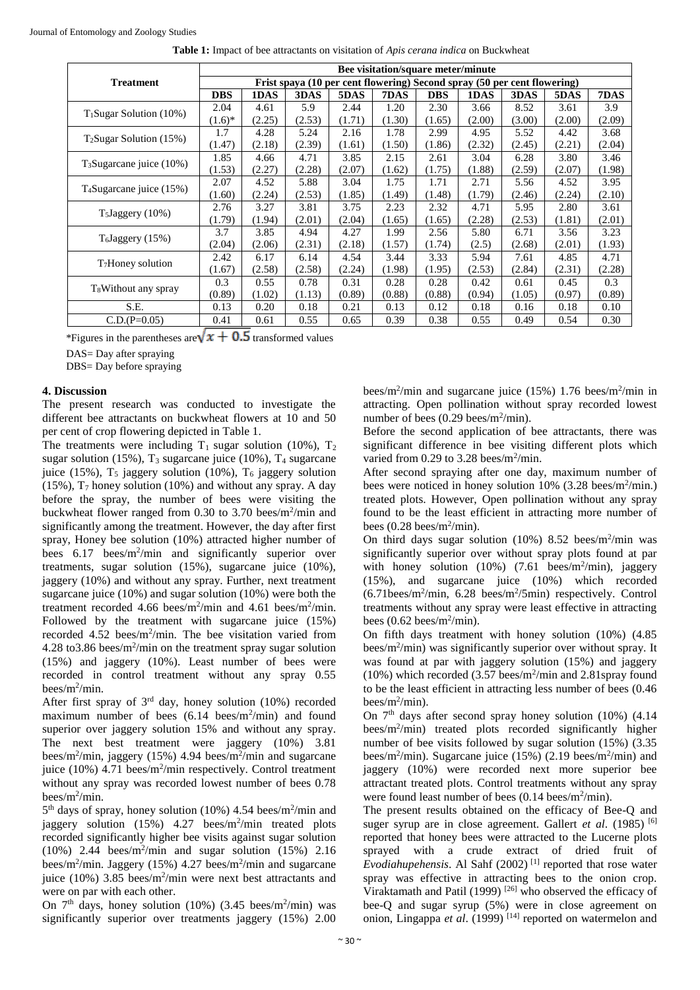|                                      | Bee visitation/square meter/minute                                       |        |        |        |        |            |        |        |        |        |
|--------------------------------------|--------------------------------------------------------------------------|--------|--------|--------|--------|------------|--------|--------|--------|--------|
| <b>Treatment</b>                     | Frist spaya (10 per cent flowering) Second spray (50 per cent flowering) |        |        |        |        |            |        |        |        |        |
|                                      | <b>DBS</b>                                                               | 1DAS   | 3DAS   | 5DAS   | 7DAS   | <b>DBS</b> | 1DAS   | 3DAS   | 5DAS   | 7DAS   |
| $T_1Sugar Solution (10%)$            | 2.04                                                                     | 4.61   | 5.9    | 2.44   | 1.20   | 2.30       | 3.66   | 8.52   | 3.61   | 3.9    |
|                                      | $(1.6)^{*}$                                                              | (2.25) | (2.53) | (1.71) | (1.30) | (1.65)     | (2.00) | (3.00) | (2.00) | (2.09) |
| $T_2Sugar Solution (15%)$            | 1.7                                                                      | 4.28   | 5.24   | 2.16   | 1.78   | 2.99       | 4.95   | 5.52   | 4.42   | 3.68   |
|                                      | (1.47)                                                                   | (2.18) | (2.39) | (1.61) | (1.50) | (1.86)     | (2.32) | (2.45) | (2.21) | (2.04) |
| $T_3$ Sugarcane juice (10%)          | 1.85                                                                     | 4.66   | 4.71   | 3.85   | 2.15   | 2.61       | 3.04   | 6.28   | 3.80   | 3.46   |
|                                      | (1.53)                                                                   | (2.27) | (2.28) | (2.07) | (1.62) | (1.75)     | (1.88) | (2.59) | (2.07) | (1.98) |
| T <sub>4</sub> Sugarcane juice (15%) | 2.07                                                                     | 4.52   | 5.88   | 3.04   | 1.75   | 1.71       | 2.71   | 5.56   | 4.52   | 3.95   |
|                                      | (1.60)                                                                   | (2.24) | (2.53) | (1.85) | (1.49) | (1.48)     | (1.79) | (2.46) | (2.24) | (2.10) |
| $T_5$ Jaggery (10%)                  | 2.76                                                                     | 3.27   | 3.81   | 3.75   | 2.23   | 2.32       | 4.71   | 5.95   | 2.80   | 3.61   |
|                                      | (1.79)                                                                   | (1.94) | (2.01) | (2.04) | (1.65) | (1.65)     | (2.28) | (2.53) | (1.81) | (2.01) |
| T <sub>6</sub> Jagger(15%)           | 3.7                                                                      | 3.85   | 4.94   | 4.27   | 1.99   | 2.56       | 5.80   | 6.71   | 3.56   | 3.23   |
|                                      | (2.04)                                                                   | (2.06) | (2.31) | (2.18) | (1.57) | (1.74)     | (2.5)  | (2.68) | (2.01) | (1.93) |
| T <sub>7</sub> Honey solution        | 2.42                                                                     | 6.17   | 6.14   | 4.54   | 3.44   | 3.33       | 5.94   | 7.61   | 4.85   | 4.71   |
|                                      | (1.67)                                                                   | (2.58) | (2.58) | (2.24) | (1.98) | (1.95)     | (2.53) | (2.84) | (2.31) | (2.28) |
| T <sub>8</sub> Without any spray     | 0.3                                                                      | 0.55   | 0.78   | 0.31   | 0.28   | 0.28       | 0.42   | 0.61   | 0.45   | 0.3    |
|                                      | (0.89)                                                                   | (1.02) | (1.13) | (0.89) | (0.88) | (0.88)     | (0.94) | (1.05) | (0.97) | (0.89) |
| S.E.                                 | 0.13                                                                     | 0.20   | 0.18   | 0.21   | 0.13   | 0.12       | 0.18   | 0.16   | 0.18   | 0.10   |
| $C.D.(P=0.05)$                       | 0.41                                                                     | 0.61   | 0.55   | 0.65   | 0.39   | 0.38       | 0.55   | 0.49   | 0.54   | 0.30   |

**Table 1:** Impact of bee attractants on visitation of *Apis cerana indica* on Buckwheat

\*Figures in the parentheses are  $\sqrt{x + 0.5}$  transformed values

DAS= Day after spraying

DBS= Day before spraying

# **4. Discussion**

The present research was conducted to investigate the different bee attractants on buckwheat flowers at 10 and 50 per cent of crop flowering depicted in Table 1.

The treatments were including  $T_1$  sugar solution (10%),  $T_2$ sugar solution (15%),  $T_3$  sugarcane juice (10%),  $T_4$  sugarcane juice (15%),  $T_5$  jaggery solution (10%),  $T_6$  jaggery solution  $(15\%)$ ,  $T_7$  honey solution  $(10\%)$  and without any spray. A day before the spray, the number of bees were visiting the buckwheat flower ranged from  $0.30$  to  $3.70$  bees/m<sup>2</sup>/min and significantly among the treatment. However, the day after first spray, Honey bee solution (10%) attracted higher number of bees 6.17 bees/m<sup>2</sup>/min and significantly superior over treatments, sugar solution (15%), sugarcane juice (10%), jaggery (10%) and without any spray. Further, next treatment sugarcane juice (10%) and sugar solution (10%) were both the treatment recorded 4.66 bees/m<sup>2</sup>/min and 4.61 bees/m<sup>2</sup>/min. Followed by the treatment with sugarcane juice (15%) recorded 4.52 bees/m<sup>2</sup>/min. The bee visitation varied from 4.28 to 3.86 bees/m<sup>2</sup>/min on the treatment spray sugar solution (15%) and jaggery (10%). Least number of bees were recorded in control treatment without any spray 0.55 bees/m<sup>2</sup> /min.

After first spray of  $3<sup>rd</sup>$  day, honey solution (10%) recorded maximum number of bees  $(6.14 \text{ bees/m}^2/\text{min})$  and found superior over jaggery solution 15% and without any spray. The next best treatment were jaggery (10%) 3.81 bees/m<sup>2</sup> /min, jaggery (15%) 4.94 bees/m<sup>2</sup> /min and sugarcane juice (10%) 4.71 bees/m<sup>2</sup>/min respectively. Control treatment without any spray was recorded lowest number of bees 0.78 bees/m<sup>2</sup> /min.

5<sup>th</sup> days of spray, honey solution (10%) 4.54 bees/m<sup>2</sup>/min and jaggery solution (15%) 4.27 bees/m<sup>2</sup>/min treated plots recorded significantly higher bee visits against sugar solution  $(10\%)$  2.44 bees/m<sup>2</sup>/min and sugar solution  $(15\%)$  2.16 bees/m<sup>2</sup>/min. Jaggery (15%) 4.27 bees/m<sup>2</sup>/min and sugarcane juice (10%) 3.85 bees/m<sup>2</sup>/min were next best attractants and were on par with each other.

On  $7<sup>th</sup>$  days, honey solution (10%) (3.45 bees/m<sup>2</sup>/min) was significantly superior over treatments jaggery (15%) 2.00

bees/m<sup>2</sup>/min and sugarcane juice (15%) 1.76 bees/m<sup>2</sup>/min in attracting. Open pollination without spray recorded lowest number of bees  $(0.29$  bees/m<sup>2</sup>/min).

Before the second application of bee attractants, there was significant difference in bee visiting different plots which varied from 0.29 to 3.28 bees/m<sup>2</sup>/min.

After second spraying after one day, maximum number of bees were noticed in honey solution  $10\%$  (3.28 bees/m<sup>2</sup>/min.) treated plots. However, Open pollination without any spray found to be the least efficient in attracting more number of bees  $(0.28$  bees/m<sup>2</sup>/min).

On third days sugar solution  $(10\%)$  8.52 bees/m<sup>2</sup>/min was significantly superior over without spray plots found at par with honey solution  $(10%)$   $(7.61 \text{ bees/m}^2/\text{min})$ , jaggery (15%), and sugarcane juice (10%) which recorded  $(6.71$ bees/m<sup>2</sup>/min,  $6.28$  bees/m<sup>2</sup>/5min) respectively. Control treatments without any spray were least effective in attracting bees  $(0.62$  bees/m<sup>2</sup>/min).

On fifth days treatment with honey solution (10%) (4.85 bees/m<sup>2</sup>/min) was significantly superior over without spray. It was found at par with jaggery solution (15%) and jaggery (10%) which recorded (3.57 bees/m<sup>2</sup> /min and 2.81spray found to be the least efficient in attracting less number of bees (0.46 bees/ $m^2$ /min).

On  $7<sup>th</sup>$  days after second spray honey solution (10%) (4.14) bees/m<sup>2</sup> /min) treated plots recorded significantly higher number of bee visits followed by sugar solution (15%) (3.35 bees/m<sup>2</sup>/min). Sugarcane juice  $(15%) (2.19$  bees/m<sup>2</sup>/min) and jaggery (10%) were recorded next more superior bee attractant treated plots. Control treatments without any spray were found least number of bees  $(0.14 \text{ bees/m}^2/\text{min})$ .

The present results obtained on the efficacy of Bee-Q and suger syrup are in close agreement. Gallert *et al.* (1985) <sup>[6]</sup> reported that honey bees were attracted to the Lucerne plots sprayed with a crude extract of dried fruit of *Evodiahupehensis*. Al Sahf (2002) [1] reported that rose water spray was effective in attracting bees to the onion crop. Viraktamath and Patil (1999)  $[26]$  who observed the efficacy of bee-Q and sugar syrup (5%) were in close agreement on onion, Lingappa et al. (1999)<sup>[14]</sup> reported on watermelon and